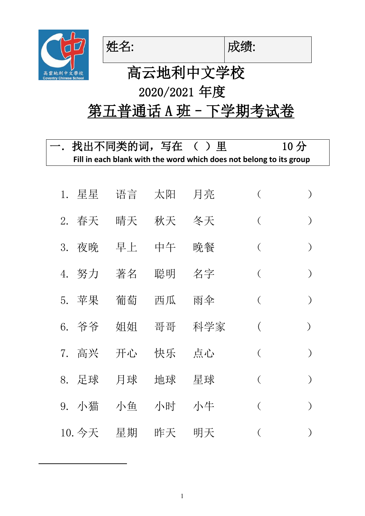



# 高云地利中文学校 2020/2021 年度

## 第五普通话 A 班 - 下学期考试卷

|    | 找出不同类的词,写在 ( )里 |    |        |                                                                     | 10 <sub>分</sub> |               |
|----|-----------------|----|--------|---------------------------------------------------------------------|-----------------|---------------|
|    |                 |    |        | Fill in each blank with the word which does not belong to its group |                 |               |
|    |                 |    |        |                                                                     |                 |               |
| 1. | 星星              | 语言 | 太阳     | 月亮                                                                  | $\left(\right)$ |               |
| 2. | 春天              | 晴天 | 秋天     | 冬天                                                                  | $\left($        |               |
| 3. | 夜晚              | 早上 | 中午     | 晩餐                                                                  | $\left($        |               |
|    | 4. 努力           | 著名 | 聪明  名字 |                                                                     | $\left($        |               |
| 5. | 苹果              | 葡萄 | 西瓜     | 雨伞                                                                  | $\left($        |               |
|    | 6. 爷爷           | 姐姐 | 哥哥     | 科学家                                                                 |                 | $\mathcal{E}$ |
|    | 7. 高兴           | 开心 | 快乐     | 点心                                                                  | $\left($        |               |
|    | 8. 足球           | 月球 | 地球     | 星球                                                                  | $\left($        |               |
| 9. | 小猫              | 小鱼 | 小时 小牛  |                                                                     | €               |               |
|    | 10. 今天          | 星期 | 昨天     | 明天                                                                  |                 |               |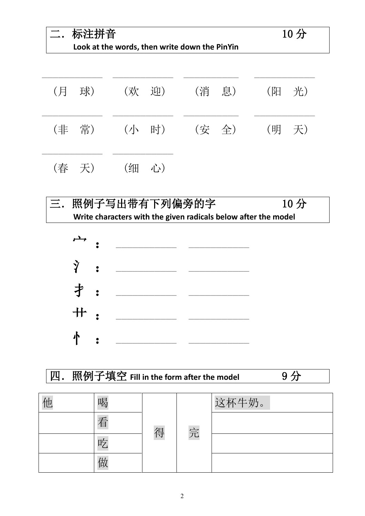| 标注拼音<br>Look at the words, then write down the PinYin | 10 <sub>分</sub> |      |                      |
|-------------------------------------------------------|-----------------|------|----------------------|
| - 球)<br>(月                                            | (欢 迎)           | (消息) | 光)<br>$(\mathbb{E})$ |
| (非 常)                                                 | (小 时) (安 全)     |      | (明天)                 |

|  | (春 天) |  | (细 心) |  |  |
|--|-------|--|-------|--|--|
|--|-------|--|-------|--|--|





| 刀 | 照例子填空 Fill in the form after the model |   |   |       |  |  |  |
|---|----------------------------------------|---|---|-------|--|--|--|
|   |                                        |   |   |       |  |  |  |
| 他 | 喝                                      |   |   | 这杯牛奶。 |  |  |  |
|   | 看                                      | 得 | 完 |       |  |  |  |
|   | 吃                                      |   |   |       |  |  |  |
|   |                                        |   |   |       |  |  |  |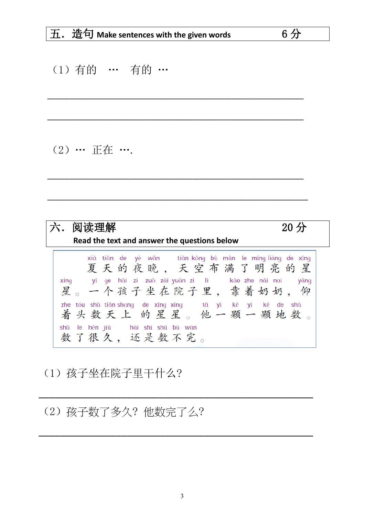$6<sup>分</sup>$ 

#### (1) 有的 … 有的 …

#### (2) … 正在 ….

| 阅读理解                                                                                                                                                       | $20$ 分 |
|------------------------------------------------------------------------------------------------------------------------------------------------------------|--------|
| Read the text and answer the questions below                                                                                                               |        |
| xià tiān de yè wǎn tiān kōng bù mǎn le míng liàng de xīng<br>夏天的夜晚,天空布满了明亮的星<br>xing yí ge hái zi zuò zài-yuàn zi li kào zhe nǎi nai<br>星。一个孩子坐在院子里,靠着奶奶,仰 | yǎnq   |
| zhe tóu shǔ tiān-shang de xīng xing tā yì kē yì kē de shǔ<br>着头数天上的星星。他一颗一颗地数。<br>shǔ le hěn jiǔ hái shì shǔ bù wán<br>数了很久,还是数不完。                         |        |

#### (1) 孩子坐在院子里干什么?

### (2) 孩子数了多久? 他数完了么?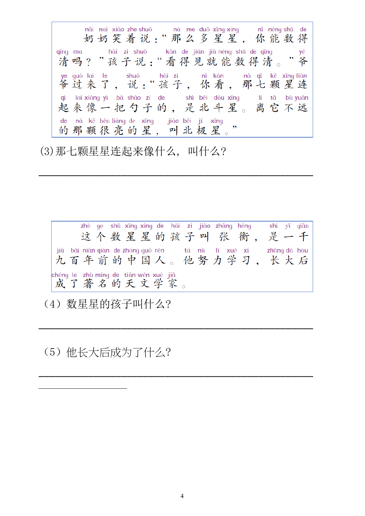nǎi nai xiào zhe shuō nà me duō xīng xing nǐ néng shǔ de<br>奶奶笑着说:"那么多星星, 你能数得 kàn de jiàn jiù néng shǔ de qīng qīng ma hái zi shuō yé 清吗?"孩子说:"看得见就能数得清。 " 爷 ye guò lai le shuō hái zi nǐ kàn nà qī kē xīng lián<br>爷过来了, 说:"孩子, 你看, 那七颗星连 qi lai xiàng yì bǎ sháo zi de shì běi dǒu xīng lí tā bù yuǎn<br>起来像一把勺子的,是北斗星。离它不远 lí tā bù yuǎn de nà kẽ hěn liàng de xīng | jiào běi jí xīng 的那颗很亮的星,叫北极星。

(3) 那七颗星星连起来像什么, 叫什么?

zhè qe shǔ xīng xing de hái zi jiào zhāng héng shì yī qiān 这个数星星的孩子叫张衡,是一千 jiǔ bǎi nián qián de zhōng guó rén tā nǔ lì xué xí zhǎng dà hòu<br>九百年前的中国人。他努力学习, 长大后 chéng le zhù míng de tiān wén xué jiā 成了著名的天文学家

(4) 数星星的孩子叫什么?

(5) 他长大后成为了什么?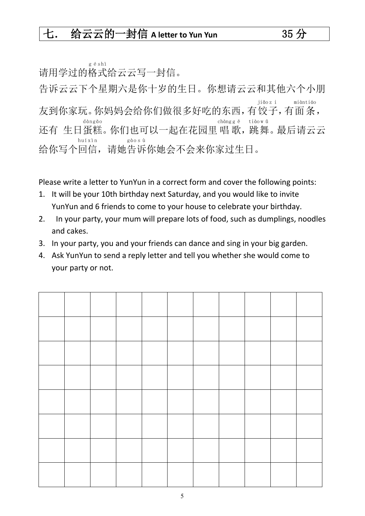请用学过的格 式 给云云写一封信。 g é s hì

告诉云云下个星期六是你十岁的生日。你想请云云和其他六个小朋 友到你家玩。你妈妈会给你们做很多好吃的东西, 有饺子, 有面条, jiǎo z i miàn tiáo 还有 生日蛋糕。你们也可以一起在花园里唱歌, 跳舞。最后请云云 dàn gāo chàng g ē tiào w ǔ 给你写个回 信 ,请她告 诉 你她会不会来你家过生日。 h uí xìn gào s ù

Please write a letter to YunYun in a correct form and cover the following points:

- 1. It will be your 10th birthday next Saturday, and you would like to invite YunYun and 6 friends to come to your house to celebrate your birthday.
- 2. In your party, your mum will prepare lots of food, such as dumplings, noodles and cakes.
- 3. In your party, you and your friends can dance and sing in your big garden.
- 4. Ask YunYun to send a reply letter and tell you whether she would come to your party or not.